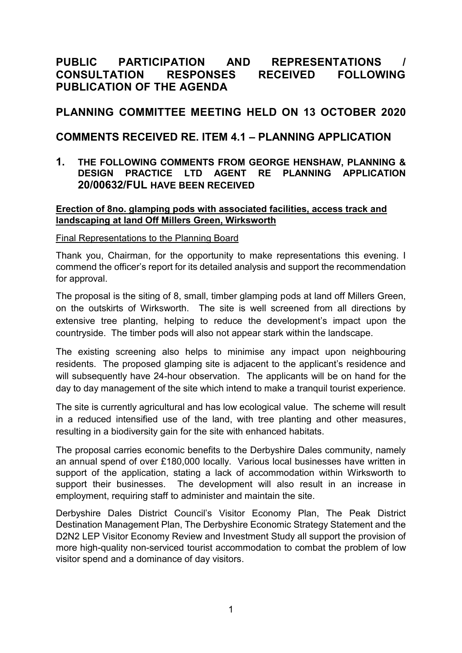# **PUBLIC PARTICIPATION AND REPRESENTATIONS / CONSULTATION RESPONSES RECEIVED FOLLOWING PUBLICATION OF THE AGENDA**

## **PLANNING COMMITTEE MEETING HELD ON 13 OCTOBER 2020**

## **COMMENTS RECEIVED RE. ITEM 4.1 – PLANNING APPLICATION**

## **1. THE FOLLOWING COMMENTS FROM GEORGE HENSHAW, PLANNING & DESIGN PRACTICE LTD AGENT RE PLANNING APPLICATION 20/00632/FUL HAVE BEEN RECEIVED**

### **Erection of 8no. glamping pods with associated facilities, access track and landscaping at land Off Millers Green, Wirksworth**

### Final Representations to the Planning Board

Thank you, Chairman, for the opportunity to make representations this evening. I commend the officer's report for its detailed analysis and support the recommendation for approval.

The proposal is the siting of 8, small, timber glamping pods at land off Millers Green, on the outskirts of Wirksworth. The site is well screened from all directions by extensive tree planting, helping to reduce the development's impact upon the countryside. The timber pods will also not appear stark within the landscape.

The existing screening also helps to minimise any impact upon neighbouring residents. The proposed glamping site is adjacent to the applicant's residence and will subsequently have 24-hour observation. The applicants will be on hand for the day to day management of the site which intend to make a tranquil tourist experience.

The site is currently agricultural and has low ecological value. The scheme will result in a reduced intensified use of the land, with tree planting and other measures, resulting in a biodiversity gain for the site with enhanced habitats.

The proposal carries economic benefits to the Derbyshire Dales community, namely an annual spend of over £180,000 locally. Various local businesses have written in support of the application, stating a lack of accommodation within Wirksworth to support their businesses. The development will also result in an increase in employment, requiring staff to administer and maintain the site.

Derbyshire Dales District Council's Visitor Economy Plan, The Peak District Destination Management Plan, The Derbyshire Economic Strategy Statement and the D2N2 LEP Visitor Economy Review and Investment Study all support the provision of more high-quality non-serviced tourist accommodation to combat the problem of low visitor spend and a dominance of day visitors.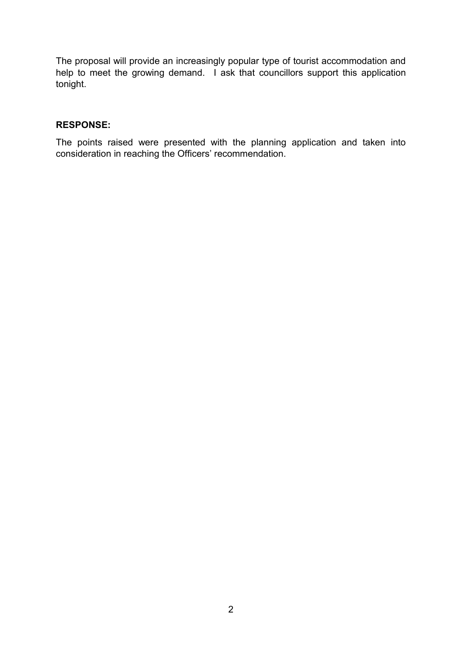The proposal will provide an increasingly popular type of tourist accommodation and help to meet the growing demand. I ask that councillors support this application tonight.

### **RESPONSE:**

The points raised were presented with the planning application and taken into consideration in reaching the Officers' recommendation.